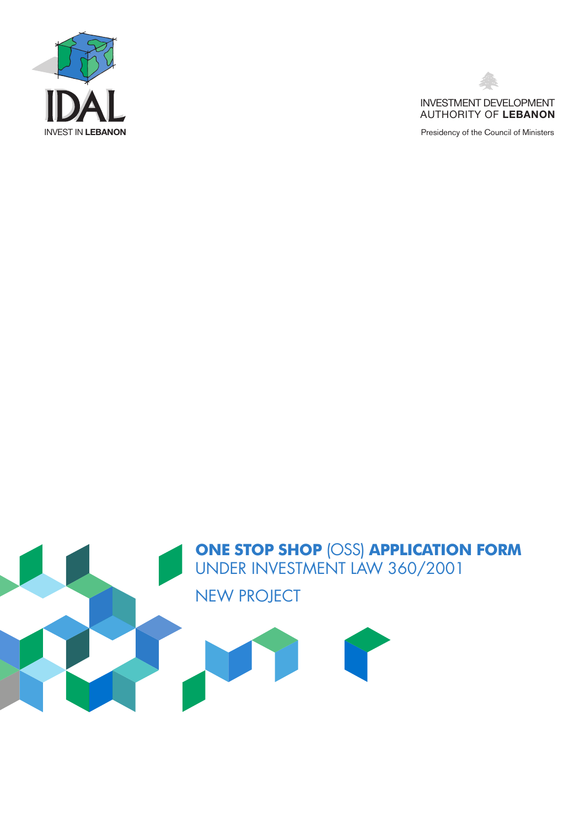



Presidency of the Council of Ministers

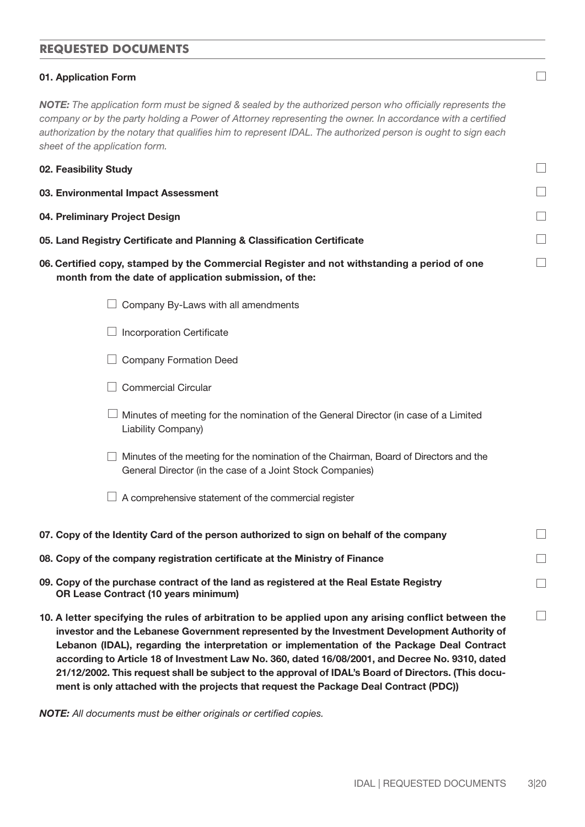# **REQUESTED DOCUMENTS**

#### 01. Application Form

*NOTE: The application form must be signed & sealed by the authorized person who officially represents the company or by the party holding a Power of Attorney representing the owner. In accordance with a certified authorization by the notary that qualifies him to represent IDAL. The authorized person is ought to sign each sheet of the application form.* 

| 02. Feasibility Study                                                   |  |
|-------------------------------------------------------------------------|--|
| 03. Environmental Impact Assessment                                     |  |
| 04. Preliminary Project Design                                          |  |
| 05. Land Registry Certificate and Planning & Classification Certificate |  |
|                                                                         |  |

06. Certified copy, stamped by the Commercial Register and not withstanding a period of one month from the date of application submission, of the:

| Company By-Laws with all amendments                                                                                                                |
|----------------------------------------------------------------------------------------------------------------------------------------------------|
| <b>Incorporation Certificate</b>                                                                                                                   |
| <b>Company Formation Deed</b>                                                                                                                      |
| Commercial Circular                                                                                                                                |
| Minutes of meeting for the nomination of the General Director (in case of a Limited<br>Liability Company)                                          |
| Minutes of the meeting for the nomination of the Chairman, Board of Directors and the<br>General Director (in the case of a Joint Stock Companies) |
| A comprehensive statement of the commercial register                                                                                               |

- 07. Copy of the Identity Card of the person authorized to sign on behalf of the company
- 08. Copy of the company registration certificate at the Ministry of Finance
- 09. Copy of the purchase contract of the land as registered at the Real Estate Registry OR Lease Contract (10 years minimum)
- 10. A letter specifying the rules of arbitration to be applied upon any arising conflict between the investor and the Lebanese Government represented by the Investment Development Authority of Lebanon (IDAL), regarding the interpretation or implementation of the Package Deal Contract according to Article 18 of Investment Law No. 360, dated 16/08/2001, and Decree No. 9310, dated 21/12/2002. This request shall be subject to the approval of IDAL's Board of Directors. (This document is only attached with the projects that request the Package Deal Contract (PDC))

*NOTE: All documents must be either originals or certified copies.*

 $\Box$ 

 $\Box$ 

 $\Box$ 

П

 $\Box$ 

 $\Box$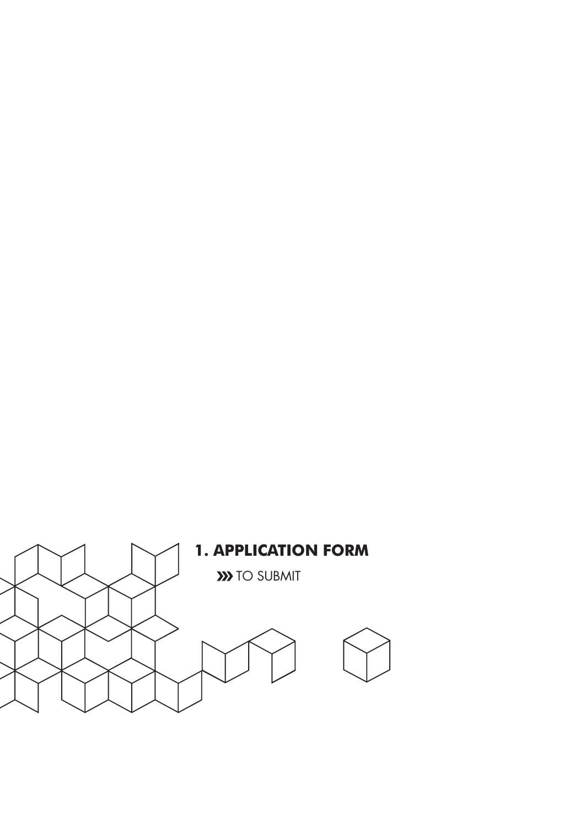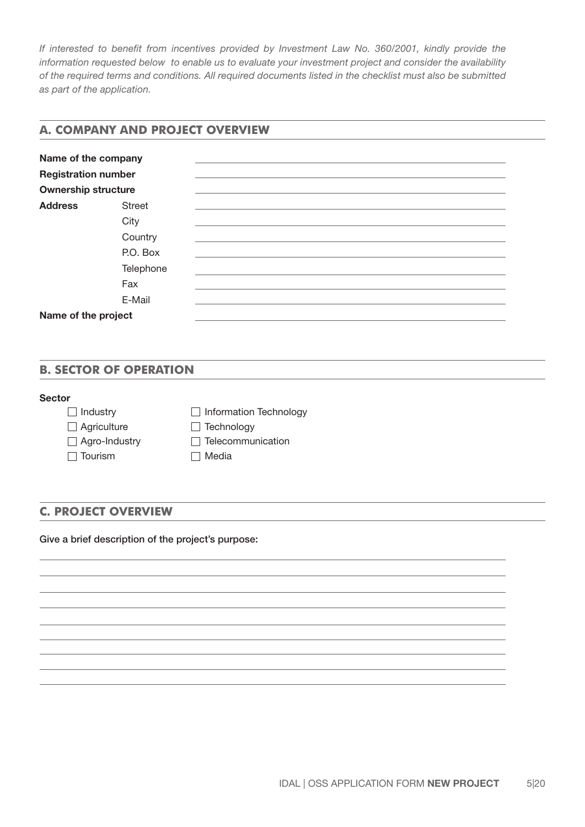*If interested to benefit from incentives provided by Investment Law No. 360/2001, kindly provide the information requested below to enable us to evaluate your investment project and consider the availability of the required terms and conditions. All required documents listed in the checklist must also be submitted as part of the application.*

# **A. COMPANY AND PROJECT OVERVIEW**

| Name of the company        |               |  |
|----------------------------|---------------|--|
| <b>Registration number</b> |               |  |
| <b>Ownership structure</b> |               |  |
| <b>Address</b>             | <b>Street</b> |  |
|                            | City          |  |
|                            | Country       |  |
|                            | P.O. Box      |  |
|                            | Telephone     |  |
|                            | Fax           |  |
|                            | E-Mail        |  |
| Name of the project        |               |  |

### **B. SECTOR OF OPERATION**

### Sector

| $\Box$ Industry      | $\Box$ Information Technology |
|----------------------|-------------------------------|
| $\Box$ Agriculture   | $\Box$ Technology             |
| $\Box$ Agro-Industry | $\Box$ Telecommunication      |
| $\Box$ Tourism       | <b>□ Media</b>                |

# **C. PROJECT OVERVIEW**

Give a brief description of the project's purpose: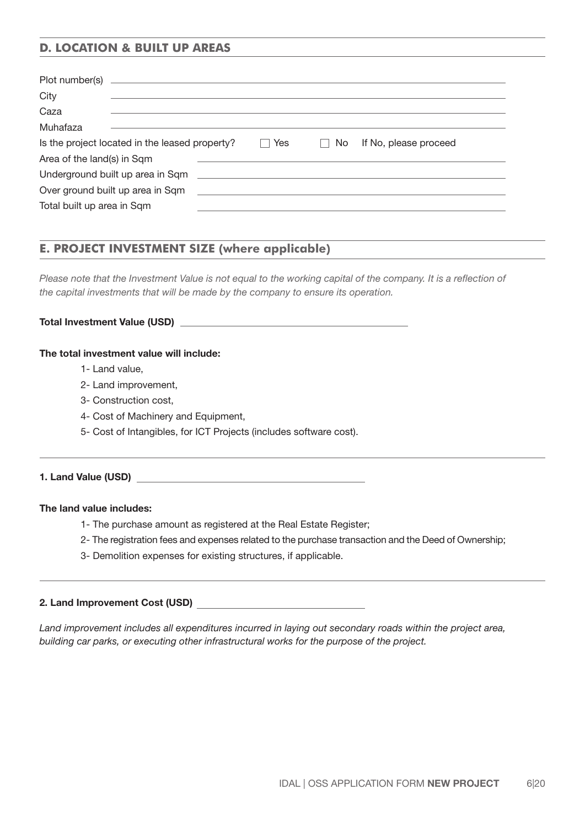# **D. LOCATION & BUILT UP AREAS**

| City                                                                                                                                                                                                                                 |     |    |                                                                                                                      |
|--------------------------------------------------------------------------------------------------------------------------------------------------------------------------------------------------------------------------------------|-----|----|----------------------------------------------------------------------------------------------------------------------|
| Caza                                                                                                                                                                                                                                 |     |    |                                                                                                                      |
| Muhafaza                                                                                                                                                                                                                             |     |    |                                                                                                                      |
| Is the project located in the leased property?                                                                                                                                                                                       | Yes | No | If No, please proceed                                                                                                |
| Area of the land(s) in Sqm                                                                                                                                                                                                           |     |    |                                                                                                                      |
| Underground built up area in Sqm <b>contained and the contact of the contact of the contact of the contact of the contact of the contact of the contact of the contact of the contact of the contact of the contact of the conta</b> |     |    |                                                                                                                      |
| Over ground built up area in Sqm                                                                                                                                                                                                     |     |    | <u> Alexandria de la contrada de la contrada de la contrada de la contrada de la contrada de la contrada de la c</u> |
| Total built up area in Sqm                                                                                                                                                                                                           |     |    |                                                                                                                      |

# **E. PROJECT INVESTMENT SIZE (where applicable)**

*Please note that the Investment Value is not equal to the working capital of the company. It is a reflection of the capital investments that will be made by the company to ensure its operation.*

#### Total Investment Value (USD)

#### The total investment value will include:

- 1- Land value,
- 2- Land improvement,
- 3- Construction cost,
- 4- Cost of Machinery and Equipment,
- 5- Cost of Intangibles, for ICT Projects (includes software cost).

#### 1. Land Value (USD)

#### The land value includes:

- 1- The purchase amount as registered at the Real Estate Register;
- 2- The registration fees and expenses related to the purchase transaction and the Deed of Ownership;
- 3- Demolition expenses for existing structures, if applicable.

#### 2. Land Improvement Cost (USD)

*Land improvement includes all expenditures incurred in laying out secondary roads within the project area, building car parks, or executing other infrastructural works for the purpose of the project.*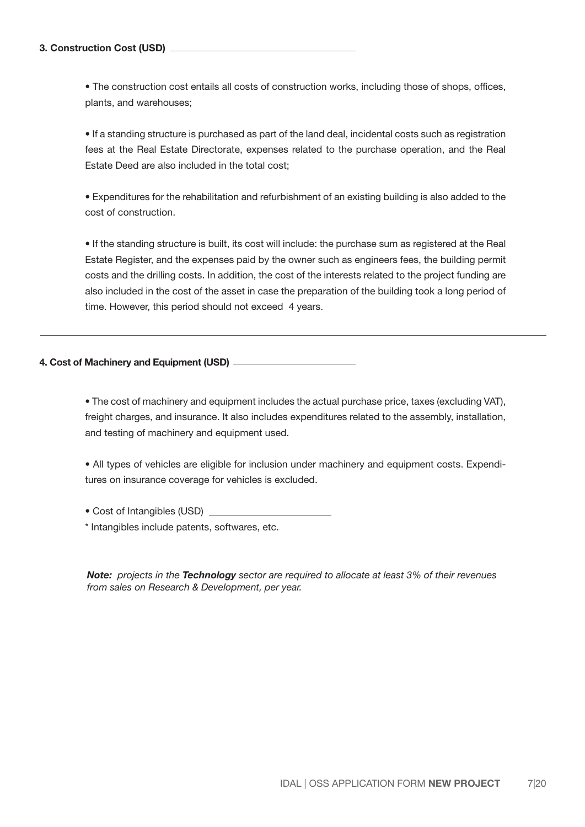• The construction cost entails all costs of construction works, including those of shops, offices, plants, and warehouses;

• If a standing structure is purchased as part of the land deal, incidental costs such as registration fees at the Real Estate Directorate, expenses related to the purchase operation, and the Real Estate Deed are also included in the total cost;

• Expenditures for the rehabilitation and refurbishment of an existing building is also added to the cost of construction.

• If the standing structure is built, its cost will include: the purchase sum as registered at the Real Estate Register, and the expenses paid by the owner such as engineers fees, the building permit costs and the drilling costs. In addition, the cost of the interests related to the project funding are also included in the cost of the asset in case the preparation of the building took a long period of time. However, this period should not exceed 4 years.

### 4. Cost of Machinery and Equipment (USD)

• The cost of machinery and equipment includes the actual purchase price, taxes (excluding VAT), freight charges, and insurance. It also includes expenditures related to the assembly, installation, and testing of machinery and equipment used.

• All types of vehicles are eligible for inclusion under machinery and equipment costs. Expenditures on insurance coverage for vehicles is excluded.

• Cost of Intangibles (USD)

\* Intangibles include patents, softwares, etc.

*Note: projects in the Technology sector are required to allocate at least 3% of their revenues from sales on Research & Development, per year.*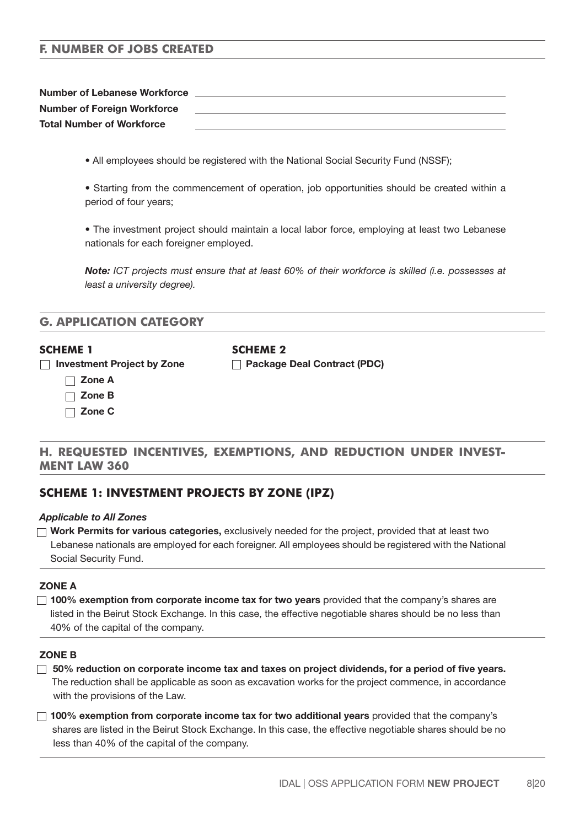# **F. NUMBER OF JOBS CREATED**

| <b>Number of Lebanese Workforce</b> |  |
|-------------------------------------|--|
| <b>Number of Foreign Workforce</b>  |  |
| <b>Total Number of Workforce</b>    |  |

- All employees should be registered with the National Social Security Fund (NSSF);
- Starting from the commencement of operation, job opportunities should be created within a period of four years;

• The investment project should maintain a local labor force, employing at least two Lebanese nationals for each foreigner employed.

*Note: ICT projects must ensure that at least 60% of their workforce is skilled (i.e. possesses at least a university degree).*

| <b>G. APPLICATION CATEGORY</b> |  |
|--------------------------------|--|
|--------------------------------|--|

#### **SCHEME 1 SCHEME 2**

□ Investment Project by Zone □ Package Deal Contract (PDC)

- Zone A
- Zone B
- Zone C

# **H. REQUESTED INCENTIVES, EXEMPTIONS, AND REDUCTION UNDER INVEST-MENT LAW 360**

# **SCHEME 1: INVESTMENT PROJECTS BY ZONE (IPZ)**

#### *Applicable to All Zones*

 $\Box$  Work Permits for various categories, exclusively needed for the project, provided that at least two Lebanese nationals are employed for each foreigner. All employees should be registered with the National Social Security Fund.

### ZONE A

 $\Box$  100% exemption from corporate income tax for two years provided that the company's shares are listed in the Beirut Stock Exchange. In this case, the effective negotiable shares should be no less than 40% of the capital of the company.

#### ZONE B

- $\Box$  50% reduction on corporate income tax and taxes on project dividends, for a period of five years. The reduction shall be applicable as soon as excavation works for the project commence, in accordance with the provisions of the Law.
- $\Box$  100% exemption from corporate income tax for two additional years provided that the company's shares are listed in the Beirut Stock Exchange. In this case, the effective negotiable shares should be no less than 40% of the capital of the company.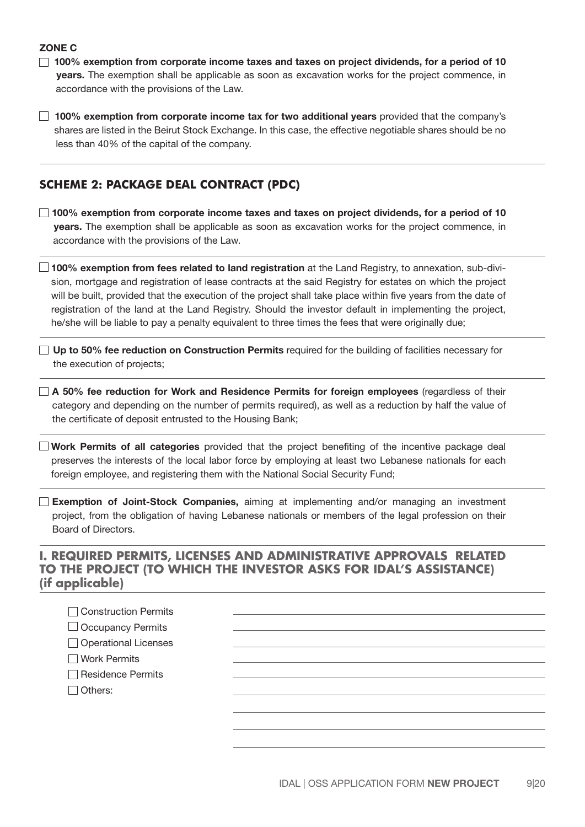### ZONE C

- $\Box$  100% exemption from corporate income taxes and taxes on project dividends, for a period of 10 years. The exemption shall be applicable as soon as excavation works for the project commence, in accordance with the provisions of the Law.
- $\Box$  100% exemption from corporate income tax for two additional years provided that the company's shares are listed in the Beirut Stock Exchange. In this case, the effective negotiable shares should be no less than 40% of the capital of the company.

# **SCHEME 2: PACKAGE DEAL CONTRACT (PDC)**

- □ 100% exemption from corporate income taxes and taxes on project dividends, for a period of 10 years. The exemption shall be applicable as soon as excavation works for the project commence, in accordance with the provisions of the Law.
- $\Box$  100% exemption from fees related to land registration at the Land Registry, to annexation, sub-division, mortgage and registration of lease contracts at the said Registry for estates on which the project will be built, provided that the execution of the project shall take place within five years from the date of registration of the land at the Land Registry. Should the investor default in implementing the project, he/she will be liable to pay a penalty equivalent to three times the fees that were originally due;
- $\Box$  Up to 50% fee reduction on Construction Permits required for the building of facilities necessary for the execution of projects;
- $\Box$  A 50% fee reduction for Work and Residence Permits for foreign employees (regardless of their category and depending on the number of permits required), as well as a reduction by half the value of the certificate of deposit entrusted to the Housing Bank;
- $\Box$  Work Permits of all categories provided that the project benefiting of the incentive package deal preserves the interests of the local labor force by employing at least two Lebanese nationals for each foreign employee, and registering them with the National Social Security Fund;
- **Exemption of Joint-Stock Companies,** aiming at implementing and/or managing an investment project, from the obligation of having Lebanese nationals or members of the legal profession on their Board of Directors.

# **I. REQUIRED PERMITS, LICENSES AND ADMINISTRATIVE APPROVALS RELATED TO THE PROJECT (TO WHICH THE INVESTOR ASKS FOR IDAL'S ASSISTANCE) (if applicable)**

| □ Construction Permits   |  |
|--------------------------|--|
| $\Box$ Occupancy Permits |  |
| □ Operational Licenses   |  |
| □ Work Permits           |  |
| Residence Permits        |  |
| $\Box$ Others:           |  |
|                          |  |
|                          |  |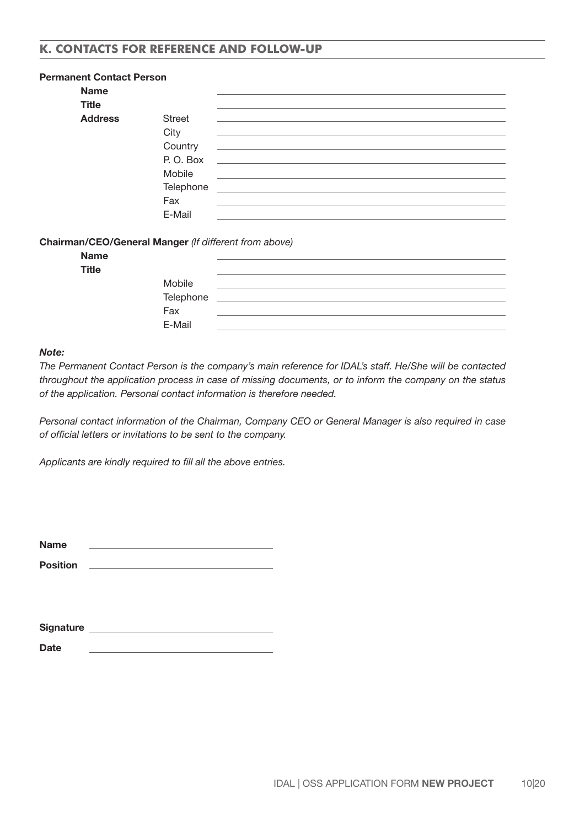# **K. CONTACTS FOR REFERENCE AND FOLLOW-UP**

| <b>Permanent Contact Person</b> |               |                                                                                                                                                                                                                                      |
|---------------------------------|---------------|--------------------------------------------------------------------------------------------------------------------------------------------------------------------------------------------------------------------------------------|
| <b>Name</b>                     |               |                                                                                                                                                                                                                                      |
| <b>Title</b>                    |               |                                                                                                                                                                                                                                      |
| <b>Address</b>                  | <b>Street</b> |                                                                                                                                                                                                                                      |
|                                 | City          |                                                                                                                                                                                                                                      |
|                                 | Country       | <u> 1980 - Johann Stein, marwolaethau (b. 1980)</u>                                                                                                                                                                                  |
|                                 | P.O. Box      | <u> 1989 - Johann Harry Harry Harry Harry Harry Harry Harry Harry Harry Harry Harry Harry Harry Harry Harry Harry Harry Harry Harry Harry Harry Harry Harry Harry Harry Harry Harry Harry Harry Harry Harry Harry Harry Harry Ha</u> |
|                                 | Mobile        |                                                                                                                                                                                                                                      |
|                                 | Telephone     | <u> 1980 - Andrea Andrea Andrea Andrea Andrea Andrea Andrea Andrea Andrea Andrea Andrea Andrea Andrea Andrea Andr</u>                                                                                                                |
|                                 | Fax           |                                                                                                                                                                                                                                      |
|                                 | E-Mail        |                                                                                                                                                                                                                                      |

#### Chairman/CEO/General Manger *(If different from above)*

| <b>Name</b>  |           |  |
|--------------|-----------|--|
| <b>Title</b> |           |  |
|              | Mobile    |  |
|              | Telephone |  |
|              | Fax       |  |
|              | E-Mail    |  |

#### *Note:*

*The Permanent Contact Person is the company's main reference for IDAL's staff. He/She will be contacted throughout the application process in case of missing documents, or to inform the company on the status of the application. Personal contact information is therefore needed.*

*Personal contact information of the Chairman, Company CEO or General Manager is also required in case of official letters or invitations to be sent to the company.*

*Applicants are kindly required to fill all the above entries.*

| <b>Name</b> |  |  |
|-------------|--|--|
| ______      |  |  |

Position \_\_

| <b>Signature</b> |  |  |
|------------------|--|--|
|                  |  |  |
| <b>Date</b>      |  |  |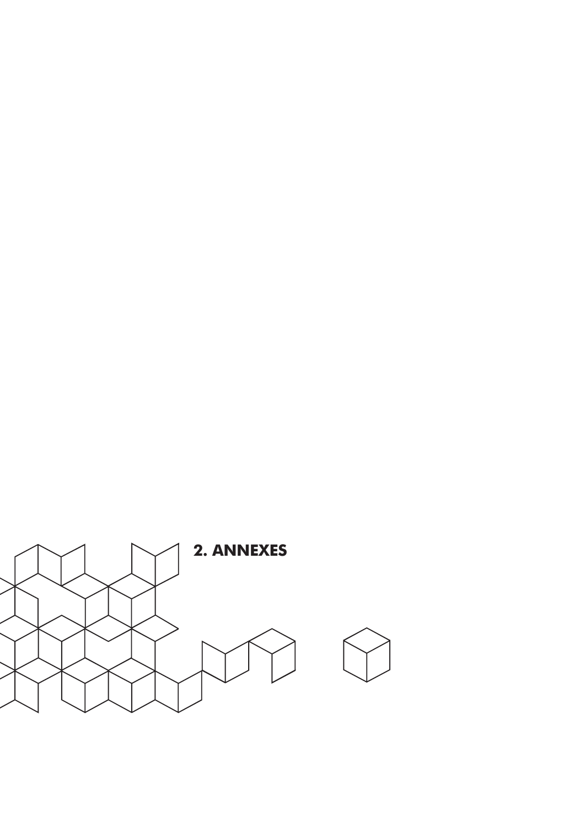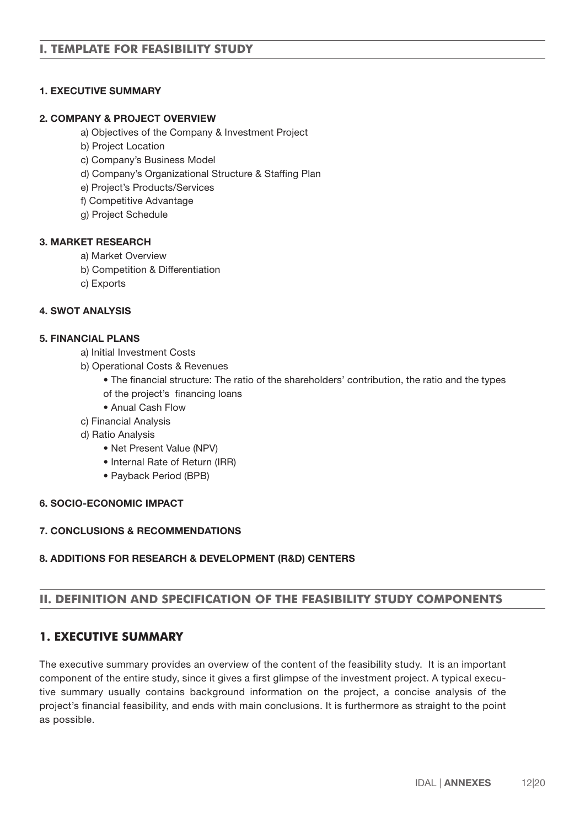# 1. EXECUTIVE SUMMARY

### 2. COMPANY & PROJECT OVERVIEW

- a) Objectives of the Company & Investment Project
- b) Project Location
- c) Company's Business Model
- d) Company's Organizational Structure & Staffing Plan
- e) Project's Products/Services
- f) Competitive Advantage
- g) Project Schedule

### 3. MARKET RESEARCH

- a) Market Overview
- b) Competition & Differentiation
- c) Exports

### 4. SWOT ANALYSIS

### 5. FINANCIAL PLANS

- a) Initial Investment Costs
- b) Operational Costs & Revenues
	- The financial structure: The ratio of the shareholders' contribution, the ratio and the types
	- of the project's financing loans
	- Anual Cash Flow
- c) Financial Analysis
- d) Ratio Analysis
	- Net Present Value (NPV)
	- Internal Rate of Return (IRR)
	- Payback Period (BPB)

### 6. SOCIO-ECONOMIC IMPACT

# 7. CONCLUSIONS & RECOMMENDATIONS

### 8. ADDITIONS FOR RESEARCH & DEVELOPMENT (R&D) CENTERS

# **II. DEFINITION AND SPECIFICATION OF THE FEASIBILITY STUDY COMPONENTS**

# **1. EXECUTIVE SUMMARY**

The executive summary provides an overview of the content of the feasibility study. It is an important component of the entire study, since it gives a first glimpse of the investment project. A typical executive summary usually contains background information on the project, a concise analysis of the project's financial feasibility, and ends with main conclusions. It is furthermore as straight to the point as possible.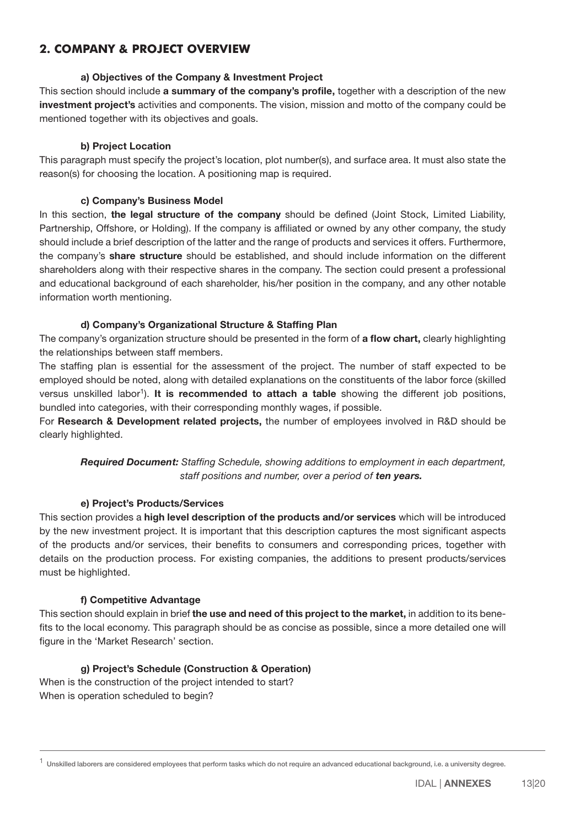# **2. COMPANY & PROJECT OVERVIEW**

### a) Objectives of the Company & Investment Project

This section should include a summary of the company's profile, together with a description of the new investment project's activities and components. The vision, mission and motto of the company could be mentioned together with its objectives and goals.

### b) Project Location

This paragraph must specify the project's location, plot number(s), and surface area. It must also state the reason(s) for choosing the location. A positioning map is required.

### c) Company's Business Model

In this section, the legal structure of the company should be defined (Joint Stock, Limited Liability, Partnership, Offshore, or Holding). If the company is afliated or owned by any other company, the study should include a brief description of the latter and the range of products and services it offers. Furthermore, the company's **share structure** should be established, and should include information on the different shareholders along with their respective shares in the company. The section could present a professional and educational background of each shareholder, his/her position in the company, and any other notable information worth mentioning.

### d) Company's Organizational Structure & Staffing Plan

The company's organization structure should be presented in the form of a flow chart, clearly highlighting the relationships between staff members.

The staffing plan is essential for the assessment of the project. The number of staff expected to be employed should be noted, along with detailed explanations on the constituents of the labor force (skilled versus unskilled labor<sup>1</sup>). It is recommended to attach a table showing the different job positions, bundled into categories, with their corresponding monthly wages, if possible.

For Research & Development related projects, the number of employees involved in R&D should be clearly highlighted.

 *Required Document: Staffing Schedule, showing additions to employment in each department, staff positions and number, over a period of ten years.*

### e) Project's Products/Services

This section provides a high level description of the products and/or services which will be introduced by the new investment project. It is important that this description captures the most significant aspects of the products and/or services, their benefits to consumers and corresponding prices, together with details on the production process. For existing companies, the additions to present products/services must be highlighted.

### f) Competitive Advantage

This section should explain in brief the use and need of this project to the market, in addition to its benefits to the local economy. This paragraph should be as concise as possible, since a more detailed one will figure in the 'Market Research' section.

### g) Project's Schedule (Construction & Operation)

When is the construction of the project intended to start? When is operation scheduled to begin?

 $1$  Unskilled laborers are considered employees that perform tasks which do not require an advanced educational background, i.e. a university degree.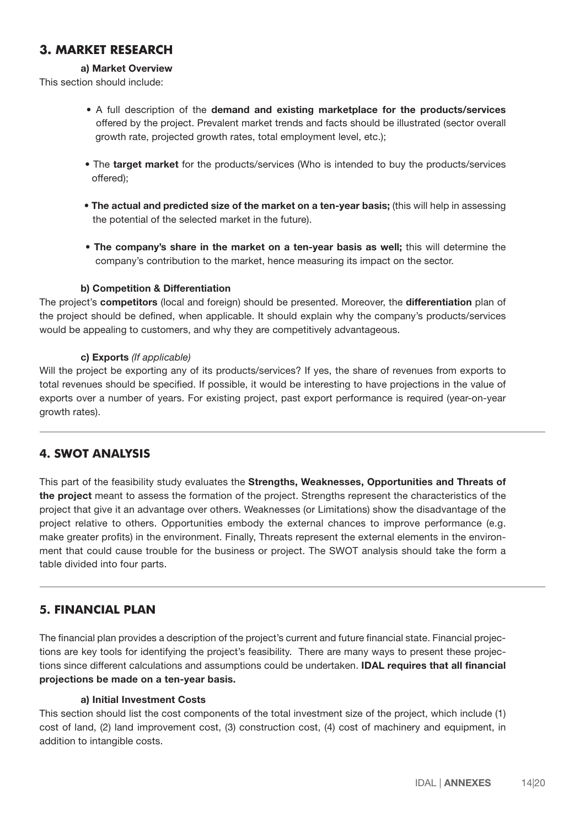# **3. MARKET RESEARCH**

# a) Market Overview

This section should include:

- A full description of the demand and existing marketplace for the products/services offered by the project. Prevalent market trends and facts should be illustrated (sector overall growth rate, projected growth rates, total employment level, etc.);
- The target market for the products/services (Who is intended to buy the products/services offered);
- The actual and predicted size of the market on a ten-year basis; (this will help in assessing the potential of the selected market in the future).
- The company's share in the market on a ten-year basis as well; this will determine the company's contribution to the market, hence measuring its impact on the sector.

### b) Competition & Differentiation

The project's competitors (local and foreign) should be presented. Moreover, the differentiation plan of the project should be defined, when applicable. It should explain why the company's products/services would be appealing to customers, and why they are competitively advantageous.

### c) Exports *(If applicable)*

Will the project be exporting any of its products/services? If yes, the share of revenues from exports to total revenues should be specified. If possible, it would be interesting to have projections in the value of exports over a number of years. For existing project, past export performance is required (year-on-year growth rates).

# **4. SWOT ANALYSIS**

This part of the feasibility study evaluates the Strengths, Weaknesses, Opportunities and Threats of the project meant to assess the formation of the project. Strengths represent the characteristics of the project that give it an advantage over others. Weaknesses (or Limitations) show the disadvantage of the project relative to others. Opportunities embody the external chances to improve performance (e.g. make greater profits) in the environment. Finally, Threats represent the external elements in the environment that could cause trouble for the business or project. The SWOT analysis should take the form a table divided into four parts.

# **5. FINANCIAL PLAN**

The financial plan provides a description of the project's current and future financial state. Financial projections are key tools for identifying the project's feasibility. There are many ways to present these projections since different calculations and assumptions could be undertaken. **IDAL requires that all financial** projections be made on a ten-year basis.

### a) Initial Investment Costs

This section should list the cost components of the total investment size of the project, which include (1) cost of land, (2) land improvement cost, (3) construction cost, (4) cost of machinery and equipment, in addition to intangible costs.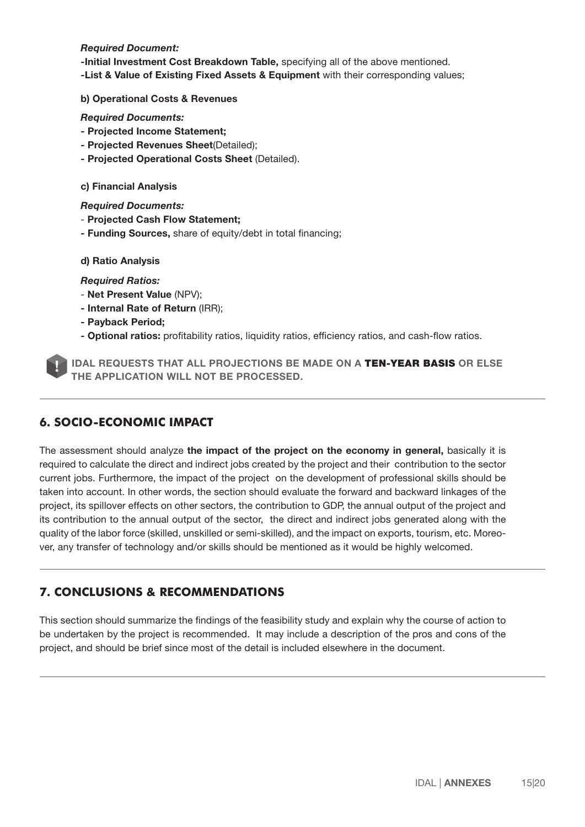#### *Required Document:*

-Initial Investment Cost Breakdown Table, specifying all of the above mentioned. -List & Value of Existing Fixed Assets & Equipment with their corresponding values;

#### b) Operational Costs & Revenues

 *Required Documents:* 

- Projected Income Statement;
- Projected Revenues Sheet(Detailed);
- Projected Operational Costs Sheet (Detailed).

#### c) Financial Analysis

 *Required Documents:* 

- Projected Cash Flow Statement;
- Funding Sources, share of equity/debt in total financing;

d) Ratio Analysis

#### *Required Ratios:*

- Net Present Value (NPV);
- Internal Rate of Return (IRR);
- Payback Period;
- Optional ratios: profitability ratios, liquidity ratios, efficiency ratios, and cash-flow ratios.



IDAL REQUESTS THAT ALL PROJECTIONS BE MADE ON A TEN-YEAR BASIS OR ELSE THE APPLICATION WILL NOT BE PROCESSED.

# **6. SOCIO-ECONOMIC IMPACT**

The assessment should analyze the impact of the project on the economy in general, basically it is required to calculate the direct and indirect jobs created by the project and their contribution to the sector current jobs. Furthermore, the impact of the project on the development of professional skills should be taken into account. In other words, the section should evaluate the forward and backward linkages of the project, its spillover effects on other sectors, the contribution to GDP, the annual output of the project and its contribution to the annual output of the sector, the direct and indirect jobs generated along with the quality of the labor force (skilled, unskilled or semi-skilled), and the impact on exports, tourism, etc. Moreover, any transfer of technology and/or skills should be mentioned as it would be highly welcomed.

# **7. CONCLUSIONS & RECOMMENDATIONS**

This section should summarize the findings of the feasibility study and explain why the course of action to be undertaken by the project is recommended. It may include a description of the pros and cons of the project, and should be brief since most of the detail is included elsewhere in the document.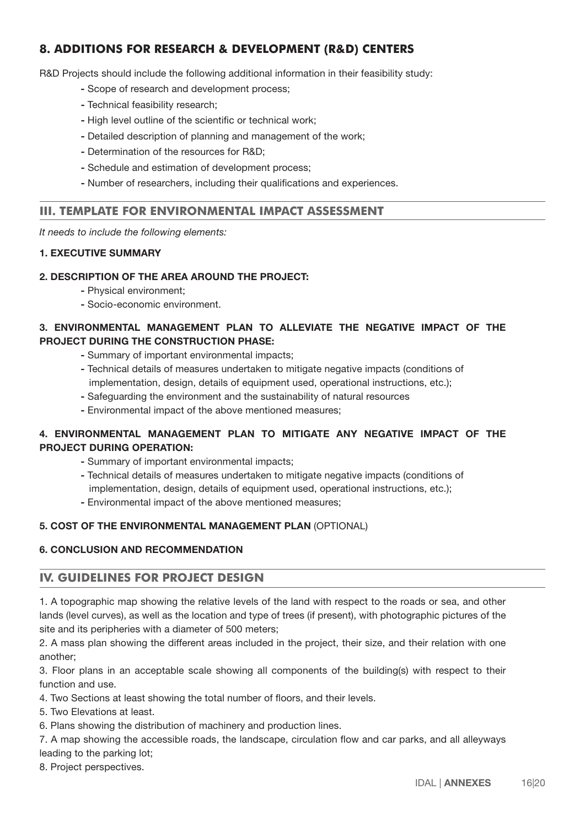# **8. ADDITIONS FOR RESEARCH & DEVELOPMENT (R&D) CENTERS**

R&D Projects should include the following additional information in their feasibility study:

- Scope of research and development process;
- Technical feasibility research;
- High level outline of the scientific or technical work;
- Detailed description of planning and management of the work;
- Determination of the resources for R&D;
- Schedule and estimation of development process;
- Number of researchers, including their qualifications and experiences.

# **III. TEMPLATE FOR ENVIRONMENTAL IMPACT ASSESSMENT**

*It needs to include the following elements:*

# 1. EXECUTIVE SUMMARY

### 2. DESCRIPTION OF THE AREA AROUND THE PROJECT:

- Physical environment;
- Socio-economic environment.

# 3. ENVIRONMENTAL MANAGEMENT PLAN TO ALLEVIATE THE NEGATIVE IMPACT OF THE PROJECT DURING THE CONSTRUCTION PHASE:

- Summary of important environmental impacts;
- Technical details of measures undertaken to mitigate negative impacts (conditions of implementation, design, details of equipment used, operational instructions, etc.);
- Safeguarding the environment and the sustainability of natural resources
- Environmental impact of the above mentioned measures;

# 4. ENVIRONMENTAL MANAGEMENT PLAN TO MITIGATE ANY NEGATIVE IMPACT OF THE PROJECT DURING OPERATION:

- Summary of important environmental impacts;
- Technical details of measures undertaken to mitigate negative impacts (conditions of implementation, design, details of equipment used, operational instructions, etc.);
- Environmental impact of the above mentioned measures;

### 5. COST OF THE ENVIRONMENTAL MANAGEMENT PLAN (OPTIONAL)

### 6. CONCLUSION AND RECOMMENDATION

### **IV. GUIDELINES FOR PROJECT DESIGN**

1. A topographic map showing the relative levels of the land with respect to the roads or sea, and other lands (level curves), as well as the location and type of trees (if present), with photographic pictures of the site and its peripheries with a diameter of 500 meters;

2. A mass plan showing the different areas included in the project, their size, and their relation with one another;

3. Floor plans in an acceptable scale showing all components of the building(s) with respect to their function and use.

4. Two Sections at least showing the total number of floors, and their levels.

5. Two Elevations at least.

6. Plans showing the distribution of machinery and production lines.

7. A map showing the accessible roads, the landscape, circulation flow and car parks, and all alleyways leading to the parking lot;

8. Project perspectives.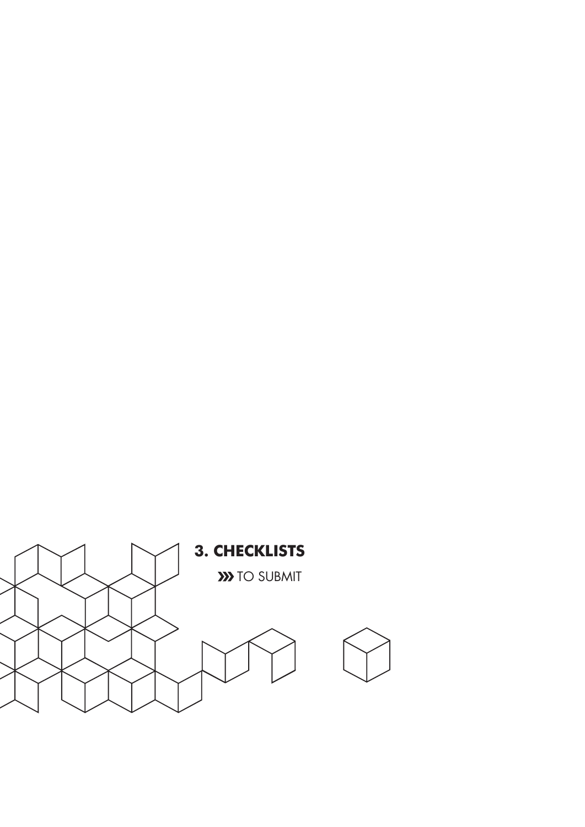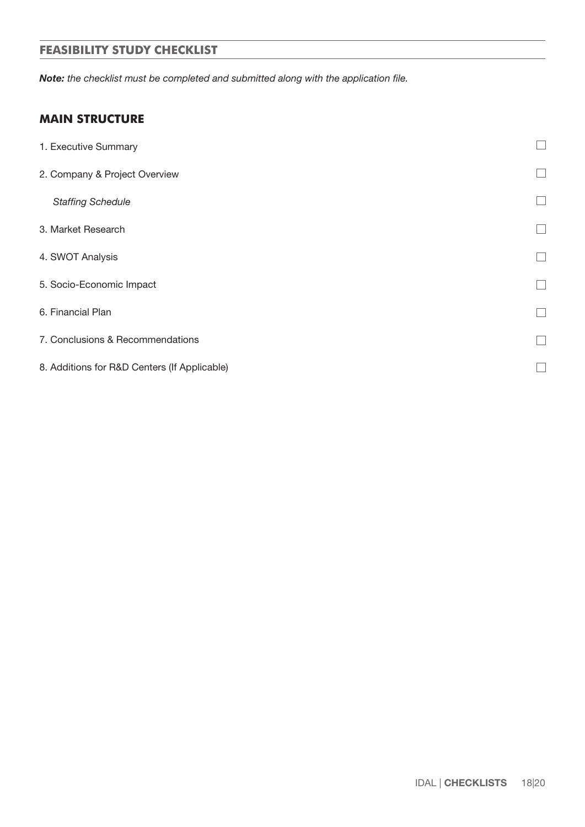# **FEASIBILITY STUDY CHECKLIST**

*Note: the checklist must be completed and submitted along with the application file.*

# **MAIN STRUCTURE**

| 1. Executive Summary                         |  |
|----------------------------------------------|--|
| 2. Company & Project Overview                |  |
| <b>Staffing Schedule</b>                     |  |
| 3. Market Research                           |  |
| 4. SWOT Analysis                             |  |
| 5. Socio-Economic Impact                     |  |
| 6. Financial Plan                            |  |
| 7. Conclusions & Recommendations             |  |
| 8. Additions for R&D Centers (If Applicable) |  |
|                                              |  |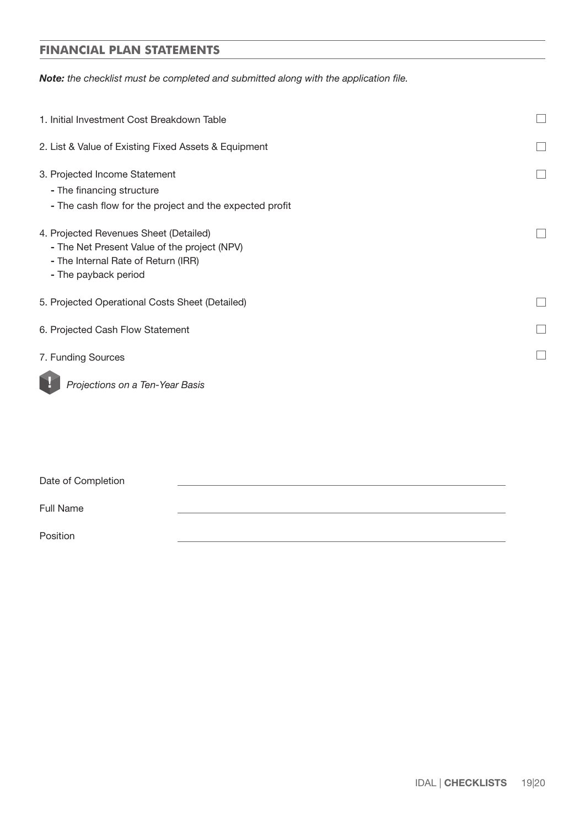# **FINANCIAL PLAN STATEMENTS**

*Note: the checklist must be completed and submitted along with the application file.*

| 1. Initial Investment Cost Breakdown Table                                                                                                            |  |
|-------------------------------------------------------------------------------------------------------------------------------------------------------|--|
| 2. List & Value of Existing Fixed Assets & Equipment                                                                                                  |  |
| 3. Projected Income Statement<br>- The financing structure<br>- The cash flow for the project and the expected profit                                 |  |
| 4. Projected Revenues Sheet (Detailed)<br>- The Net Present Value of the project (NPV)<br>- The Internal Rate of Return (IRR)<br>- The payback period |  |
| 5. Projected Operational Costs Sheet (Detailed)                                                                                                       |  |
| 6. Projected Cash Flow Statement                                                                                                                      |  |
| 7. Funding Sources                                                                                                                                    |  |
| Projections on a Ten-Year Basis                                                                                                                       |  |

Date of Completion

Full Name

Position